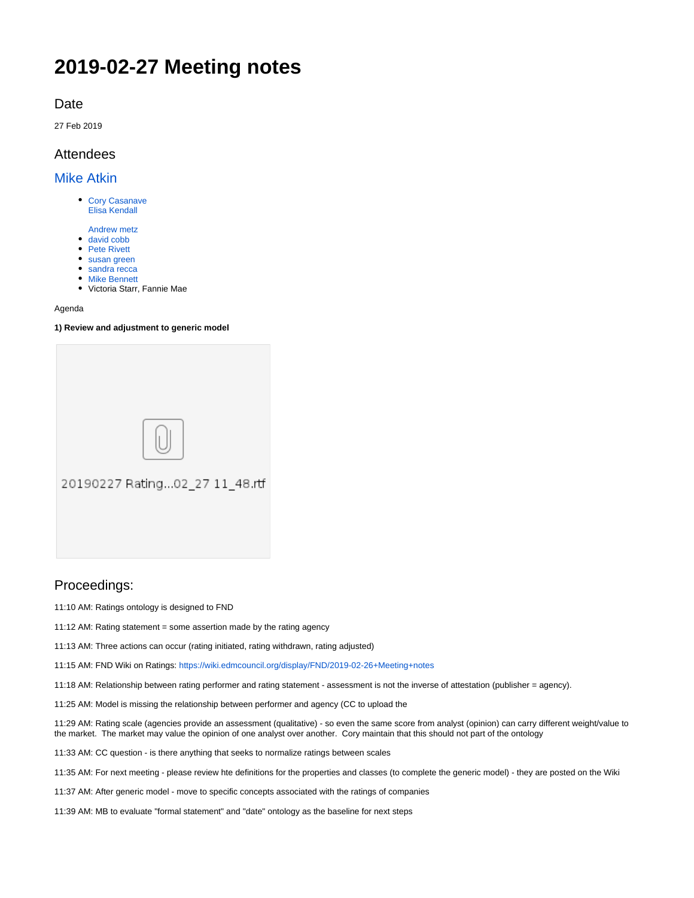# **2019-02-27 Meeting notes**

## Date

27 Feb 2019

# **Attendees**

[Mike Atkin](https://wiki.edmcouncil.org/display/~atkin)

- [Cory Casanave](https://wiki.edmcouncil.org/display/~CoryCasanave) [Elisa Kendall](https://wiki.edmcouncil.org/display/~ElisaKendall)
- [Andrew metz](https://wiki.edmcouncil.org/display/~Andrew.metz)
- [david cobb](https://wiki.edmcouncil.org/display/~davidcobb)
- [Pete Rivett](https://wiki.edmcouncil.org/display/~rivettp)
- [susan green](https://wiki.edmcouncil.org/display/~susangreen) • [sandra recca](https://wiki.edmcouncil.org/display/~sandrarecca)
- [Mike Bennett](https://wiki.edmcouncil.org/display/~MikeHypercube)
- Victoria Starr, Fannie Mae

#### Agenda

#### **1) Review and adjustment to generic model**

| 20190227 Rating02_27 11_48.rtf |
|--------------------------------|
|                                |

## Proceedings:

11:10 AM: Ratings ontology is designed to FND

11:12 AM: Rating statement = some assertion made by the rating agency

11:13 AM: Three actions can occur (rating initiated, rating withdrawn, rating adjusted)

11:15 AM: FND Wiki on Ratings:<https://wiki.edmcouncil.org/display/FND/2019-02-26+Meeting+notes>

11:18 AM: Relationship between rating performer and rating statement - assessment is not the inverse of attestation (publisher = agency).

11:25 AM: Model is missing the relationship between performer and agency (CC to upload the

11:29 AM: Rating scale (agencies provide an assessment (qualitative) - so even the same score from analyst (opinion) can carry different weight/value to the market. The market may value the opinion of one analyst over another. Cory maintain that this should not part of the ontology

11:33 AM: CC question - is there anything that seeks to normalize ratings between scales

11:35 AM: For next meeting - please review hte definitions for the properties and classes (to complete the generic model) - they are posted on the Wiki

11:37 AM: After generic model - move to specific concepts associated with the ratings of companies

11:39 AM: MB to evaluate "formal statement" and "date" ontology as the baseline for next steps